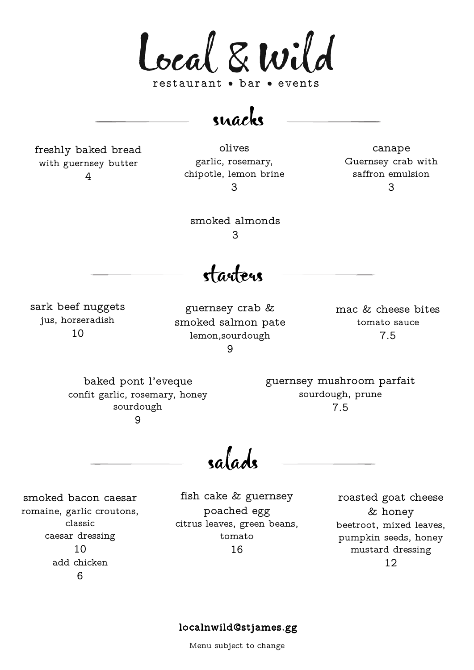Local & Wild restaurant • bar • events

snacks

freshly baked bread with guernsey butter 4

olives garlic, rosemary, chipotle, lemon brine 3

canape Guernsey crab with saffron emulsion 3

smoked almonds 3

starters

sark beef nuggets jus, horseradish 10

guernsey crab & smoked salmon pate lemon,sourdough  $\mathsf{Q}$ 

mac & cheese bites tomato sauce 7.5

baked pont l'eveque confit garlic, rosemary, honey sourdough 9

guernsey mushroom parfait sourdough, prune 7.5

salads

smoked bacon caesar romaine, garlic croutons, classic caesar dressing 10 add chicken 6

fish cake & guernsey poached egg citrus leaves, green beans, tomato 16

roasted goat cheese & honey beetroot, mixed leaves, pumpkin seeds, honey mustard dressing 12

## localnwild@stjames.gg

Menu subject to change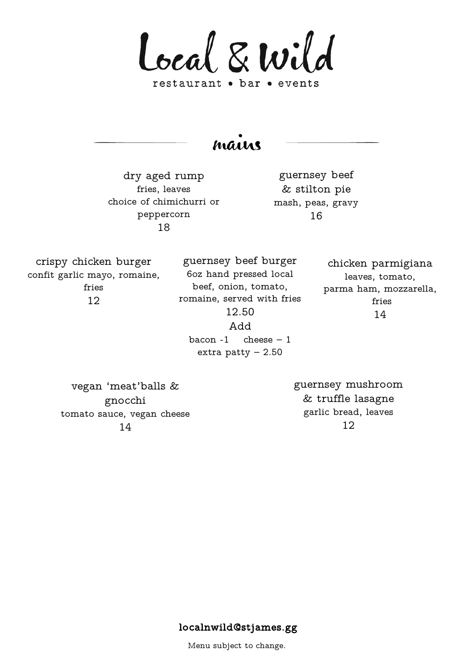Local & Wild restaurant • bar • events

mains

dry aged rump fries, leaves choice of chimichurri or peppercorn 18

guernsey beef & stilton pie mash, peas, gravy 16

crispy chicken burger confit garlic mayo, romaine, fries 12

guernsey beef burger 6oz hand pressed local beef, onion, tomato, romaine, served with fries 12.50 Add

chicken parmigiana leaves, tomato, parma ham, mozzarella, fries 14

bacon  $-1$  cheese  $-1$ extra patty  $-2.50$ 

vegan 'meat'balls & gnocchi tomato sauce, vegan cheese 14

guernsey mushroom & truffle lasagne garlic bread, leaves 12

## localnwild@stjames.gg

Menu subject to change.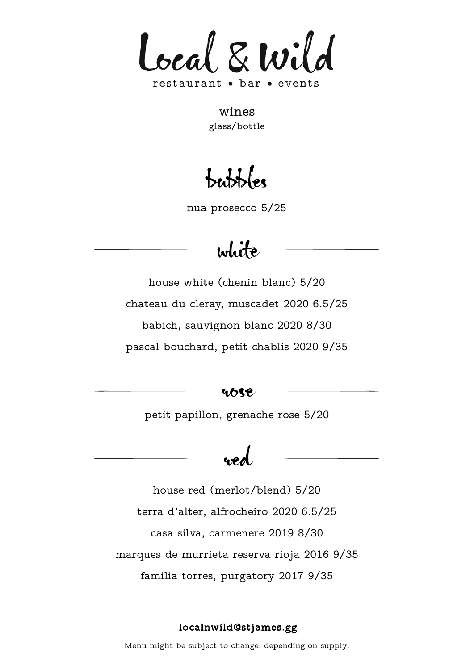

wines glass/bottle

bubbles

nua prosecco 5/25

## white

house white (chenin blanc) 5/20 chateau du cleray, muscadet 2020 6.5/25 babich, sauvignon blanc 2020 8/30 pascal bouchard, petit chablis 2020 9/35

ubse

petit papillon, grenache rose 5/20

# red

house red (merlot/blend) 5/20 terra d'alter, alfrocheiro 2020 6.5/25 casa silva, carmenere 2019 8/30 marques de murrieta reserva rioja 2016 9/35 familia torres, purgatory 2017 9/35

## localnwild@stjames.gg

Menu might be subject to change, depending on supply.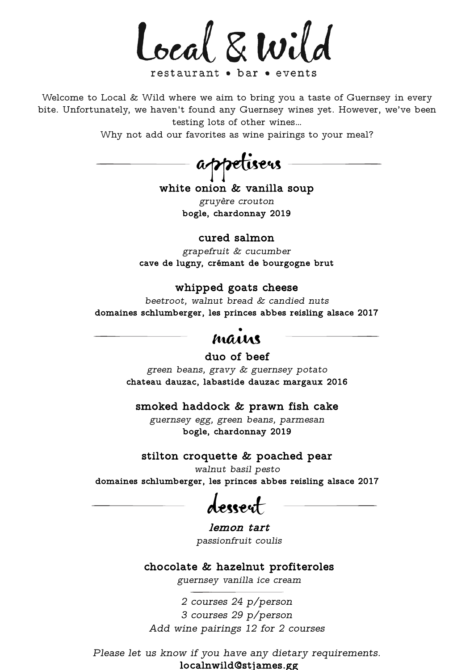Local & Wild

restaurant • bar • events

Welcome to Local & Wild where we aim to bring you a taste of Guernsey in every bite. Unfortunately, we haven't found any Guernsey wines yet. However, we've been testing lots of other wines…

Why not add our favorites as wine pairings to your meal?

appetisers

white onion & vanilla soup

*gruyère crouton*  bogle, chardonnay 2019

## cured salmon

*grapefruit & cucumber* cave de lugny, crémant de bourgogne brut

#### whipped goats cheese

*beetroot, walnut bread & candied nuts* domaines schlumberger, les princes abbes reisling alsace 2017

## mains

duo of beef

*green beans, gravy & guernsey potato* chateau dauzac, labastide dauzac margaux 2016

smoked haddock & prawn fish cake

*guernsey egg, green beans, parmesan* bogle, chardonnay 2019

#### stilton croquette & poached pear

*walnut basil pesto*  domaines schlumberger, les princes abbes reisling alsace 2017

dessert

lemon tart *passionfruit coulis*

chocolate & hazelnut profiteroles

*guernsey vanilla ice cream*

*2 courses 24 p/person 3 courses 29 p/person Add wine pairings 12 for 2 courses*

localnwild@stjames.gg *Please let us know if you have any dietary requirements.*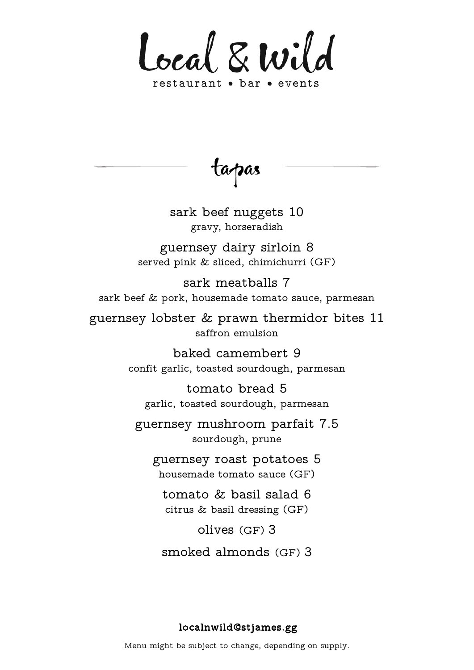

tapas

sark beef nuggets 10 gravy, horseradish

guernsey dairy sirloin 8 served pink & sliced, chimichurri (GF)

sark meatballs 7 sark beef & pork, housemade tomato sauce, parmesan

guernsey lobster & prawn thermidor bites 11 saffron emulsion

> baked camembert 9 confit garlic, toasted sourdough, parmesan

tomato bread 5 garlic, toasted sourdough, parmesan

guernsey mushroom parfait 7.5 sourdough, prune

guernsey roast potatoes 5 housemade tomato sauce (GF)

tomato & basil salad 6 citrus & basil dressing (GF)

olives (GF) 3

smoked almonds (GF) 3

## localnwild@stjames.gg

Menu might be subject to change, depending on supply.